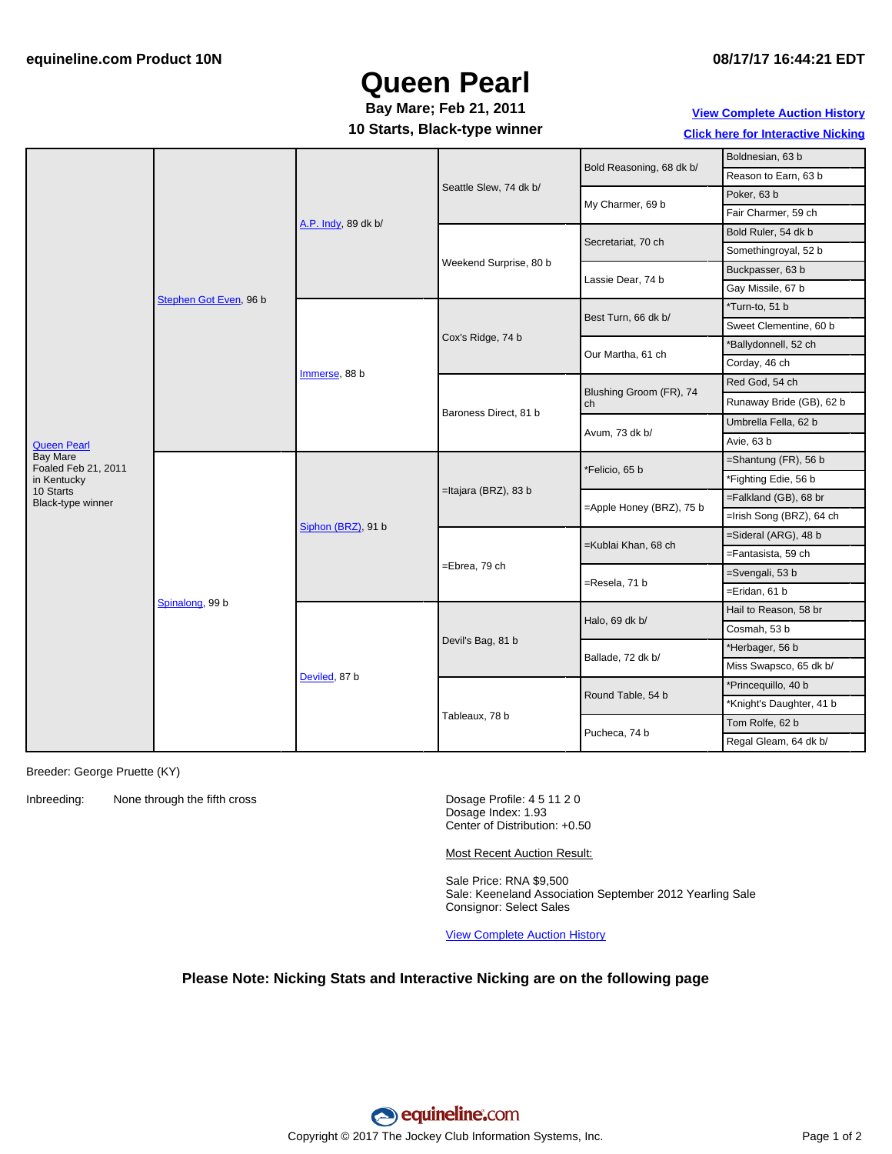## **Queen Pearl**

#### **10 Starts, Black-type winner Bay Mare; Feb 21, 2011**

#### **08/17/17 16:44:21 EDT**

**View [Complete](http://www.equineline.com/Free-Auction-Results.cfm?upsellReferenceNumber=&upsellHorseName=&upsellBreedType=&upsellHorseType=&upsellYOB=&lookupAuctionResults=true&tempHorseType=&tempSale=ALL&tempYear=ALL&search_type=HORSE&reference_number=9111425&horse_name=Fateful&horse_type=ALL&year=ALL&sale=ALL&consignor_id=&consignor_name=&buyer_id=&buyer_name=&price_range_low=&price_range_high=&availableConsignors=&availableBuyers=&fromFree5CrossPedigree=Y) Auction History Click here for [Interactive](#page-1-0) Nicking**

| <b>Queen Pearl</b><br><b>Bay Mare</b><br>Foaled Feb 21, 2011<br>in Kentucky | Stephen Got Even, 96 b | A.P. Indy, 89 dk b/ | Seattle Slew, 74 dk b/ |                               | Boldnesian, 63 b         |
|-----------------------------------------------------------------------------|------------------------|---------------------|------------------------|-------------------------------|--------------------------|
|                                                                             |                        |                     |                        | Bold Reasoning, 68 dk b/      | Reason to Earn, 63 b     |
|                                                                             |                        |                     |                        | My Charmer, 69 b              | Poker, 63 b              |
|                                                                             |                        |                     |                        |                               | Fair Charmer, 59 ch      |
|                                                                             |                        |                     | Weekend Surprise, 80 b | Secretariat, 70 ch            | Bold Ruler, 54 dk b      |
|                                                                             |                        |                     |                        |                               | Somethingroyal, 52 b     |
|                                                                             |                        |                     |                        | Lassie Dear, 74 b             | Buckpasser, 63 b         |
|                                                                             |                        |                     |                        |                               | Gay Missile, 67 b        |
|                                                                             |                        | Immerse, 88 b       | Cox's Ridge, 74 b      | Best Turn, 66 dk b/           | *Turn-to, 51 b           |
|                                                                             |                        |                     |                        |                               | Sweet Clementine, 60 b   |
|                                                                             |                        |                     |                        | Our Martha, 61 ch             | *Ballydonnell, 52 ch     |
|                                                                             |                        |                     |                        |                               | Corday, 46 ch            |
|                                                                             |                        |                     | Baroness Direct, 81 b  | Blushing Groom (FR), 74<br>ch | Red God, 54 ch           |
|                                                                             |                        |                     |                        |                               | Runaway Bride (GB), 62 b |
|                                                                             |                        |                     |                        | Avum, 73 dk b/                | Umbrella Fella, 62 b     |
|                                                                             |                        |                     |                        |                               | Avie, 63 b               |
|                                                                             | Spinalong, 99 b        | Siphon (BRZ), 91 b  | =Itajara (BRZ), 83 b   | *Felicio, 65 b                | =Shantung $(FR)$ , 56 b  |
|                                                                             |                        |                     |                        |                               | *Fighting Edie, 56 b     |
| 10 Starts<br>Black-type winner                                              |                        |                     |                        | =Apple Honey (BRZ), 75 b      | =Falkland (GB), 68 br    |
|                                                                             |                        |                     |                        |                               | =Irish Song (BRZ), 64 ch |
|                                                                             |                        |                     | =Ebrea, 79 ch          | =Kublai Khan, 68 ch           | =Sideral (ARG), 48 b     |
|                                                                             |                        |                     |                        |                               | =Fantasista, 59 ch       |
|                                                                             |                        |                     |                        | =Resela, 71 b                 | =Svengali, 53 b          |
|                                                                             |                        |                     |                        |                               | =Eridan, 61 b            |
|                                                                             |                        | Deviled, 87 b       | Devil's Bag, 81 b      | Halo, 69 dk b/                | Hail to Reason, 58 br    |
|                                                                             |                        |                     |                        |                               | Cosmah, 53 b             |
|                                                                             |                        |                     |                        | Ballade, 72 dk b/             | *Herbager, 56 b          |
|                                                                             |                        |                     |                        |                               | Miss Swapsco, 65 dk b/   |
|                                                                             |                        |                     | Tableaux, 78 b         | Round Table, 54 b             | *Princequillo, 40 b      |
|                                                                             |                        |                     |                        |                               | *Knight's Daughter, 41 b |
|                                                                             |                        |                     |                        | Pucheca, 74 b                 | Tom Rolfe, 62 b          |
|                                                                             |                        |                     |                        |                               | Regal Gleam, 64 dk b/    |

Breeder: George Pruette (KY)

Inbreeding: None through the fifth cross Dosage Profile: 4 5 11 2 0

Dosage Index: 1.93 Center of Distribution: +0.50

Most Recent Auction Result:

Sale Price: RNA \$9,500 Sale: Keeneland Association September 2012 Yearling Sale Consignor: Select Sales

View [Complete](http://www.equineline.com/Free-Auction-Results.cfm?upsellReferenceNumber=&upsellHorseName=&upsellBreedType=&upsellHorseType=&upsellYOB=&lookupAuctionResults=true&tempHorseType=&tempSale=ALL&tempYear=ALL&search_type=HORSE&reference_number=9111425&horse_name=Fateful&horse_type=ALL&year=ALL&sale=ALL&consignor_id=&consignor_name=&buyer_id=&buyer_name=&price_range_low=&price_range_high=&availableConsignors=&availableBuyers=&fromFree5CrossPedigree=Y) Auction History

#### **Please Note: Nicking Stats and Interactive Nicking are on the following page**